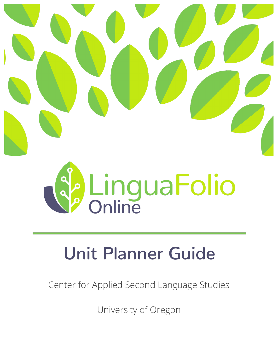



# **Unit Planner Guide**

Center for Applied Second Language Studies

University of Oregon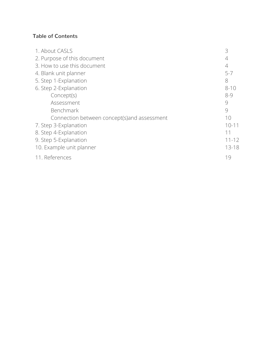## **Table of Contents**

| 3         |
|-----------|
| 4         |
| 4         |
| $5 - 7$   |
| 8         |
| $8 - 10$  |
| $8 - 9$   |
| 9         |
| 9         |
| 10        |
| $10 - 11$ |
| 11        |
| $11 - 12$ |
| $13 - 18$ |
| 19        |
|           |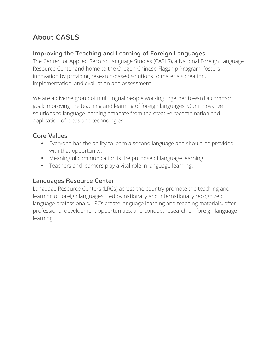# **About CASLS**

## **Improving the Teaching and Learning of Foreign Languages**

The Center for Applied Second Language Studies (CASLS), a National Foreign Language Resource Center and home to the Oregon Chinese Flagship Program, fosters innovation by providing research-based solutions to materials creation, implementation, and evaluation and assessment.

We are a diverse group of multilingual people working together toward a common goal: improving the teaching and learning of foreign languages. Our innovative solutions to language learning emanate from the creative recombination and application of ideas and technologies.

## **Core Values**

- Everyone has the ability to learn a second language and should be provided with that opportunity.
- Meaningful communication is the purpose of language learning.
- Teachers and learners play a vital role in language learning.

#### **Languages Resource Center**

Language Resource Centers (LRCs) across the country promote the teaching and learning of foreign languages. Led by nationally and internationally recognized language professionals, LRCs create language learning and teaching materials, offer professional development opportunities, and conduct research on foreign language learning.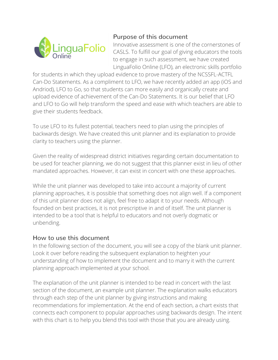

## Purpose of this document

Innovative assessment is one of the cornerstones of CASLS. To fulfill our goal of giving educators the tools to engage in such assessment, we have created LinguaFolio Online (LFO), an electronic skills portfolio

for students in which they upload evidence to prove mastery of the NCSSFL-ACTFL Can-Do Statements. As a compliment to LFO, we have recently added an app (iOS and Andriod), LFO to Go, so that students can more easily and organically create and upload evidence of achievement of the Can-Do Statements. It is our belief that LFO and LFO to Go will help transform the speed and ease with which teachers are able to give their students feedback.

To use LFO to its fullest potential, teachers need to plan using the principles of backwards design. We have created this unit planner and its explanation to provide clarity to teachers using the planner.

Given the reality of widespread district initiatives regarding certain documentation to be used for teacher planning, we do not suggest that this planner exist in lieu of other mandated approaches. However, it can exist in concert with one these approaches.

While the unit planner was developed to take into account a majority of current planning approaches, it is possible that something does not align well. If a component of this unit planner does not align, feel free to adapt it to your needs. Although founded on best practices, it is not prescriptive in and of itself. The unit planner is intended to be a tool that is helpful to educators and not overly dogmatic or unbending.

#### How to use this document

In the following section of the document, you will see a copy of the blank unit planner. Look it over before reading the subsequent explanation to heighten your understanding of how to implement the document and to marry it with the current planning approach implemented at your school.

The explanation of the unit planner is intended to be read in concert with the last section of the document, an example unit planner. The explanation walks educators through each step of the unit planner by giving instructions and making recommendations for implementation. At the end of each section, a chart exists that connects each component to popular approaches using backwards design. The intent with this chart is to help you blend this tool with those that you are already using.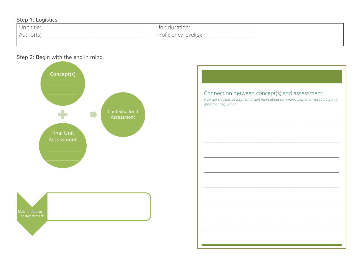#### Step 1: Logistics

| Unit title: | Unit duration:        |
|-------------|-----------------------|
| Author(s):  | Proficiency level(s): |

#### Step 2: Begin with the end in mind.



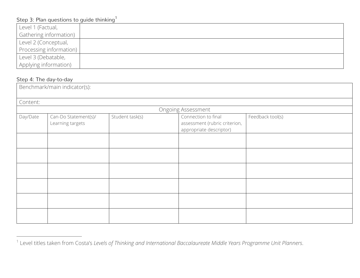## Step 3: Plan questions to guide thinking<sup>1</sup>

| Level 1 (Factual,       |  |
|-------------------------|--|
| Gathering information)  |  |
| Level 2 (Conceptual,    |  |
| Processing information) |  |
| Level 3 (Debatable,     |  |
| Applying information)   |  |

#### Step 4: The day-to-day

| Benchmark/main indicator(s): |                                          |                 |                                                                                 |                  |
|------------------------------|------------------------------------------|-----------------|---------------------------------------------------------------------------------|------------------|
| Content:                     |                                          |                 |                                                                                 |                  |
|                              |                                          |                 | Ongoing Assessment                                                              |                  |
| Day/Date                     | Can-Do Statement(s)/<br>Learning targets | Student task(s) | Connection to final<br>assessment (rubric criterion,<br>appropriate descriptor) | Feedback tool(s) |
|                              |                                          |                 |                                                                                 |                  |
|                              |                                          |                 |                                                                                 |                  |
|                              |                                          |                 |                                                                                 |                  |
|                              |                                          |                 |                                                                                 |                  |
|                              |                                          |                 |                                                                                 |                  |
|                              |                                          |                 |                                                                                 |                  |

 <sup>1</sup> Level titles taken from Costa's *Levels of Thinking and International Baccalaureate Middle Years Programme Unit Planners*.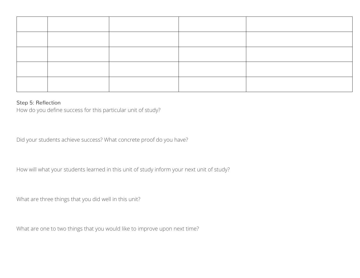#### Step 5: Reflection

How do you define success for this particular unit of study?

Did your students achieve success? What concrete proof do you have?

How will what your students learned in this unit of study inform your next unit of study?

What are three things that you did well in this unit?

What are one to two things that you would like to improve upon next time?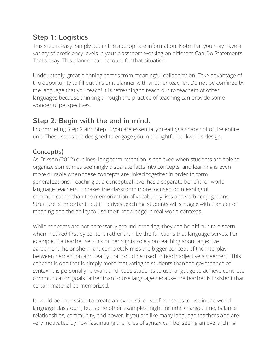# **Step 1: Logistics**

This step is easy! Simply put in the appropriate information. Note that you may have a variety of proficiency levels in your classroom working on different Can-Do Statements. That's okay. This planner can account for that situation.

Undoubtedly, great planning comes from meaningful collaboration. Take advantage of the opportunity to fill out this unit planner with another teacher. Do not be confined by the language that you teach! It is refreshing to reach out to teachers of other languages because thinking through the practice of teaching can provide some wonderful perspectives.

## **Step 2: Begin with the end in mind.**

In completing Step 2 and Step 3, you are essentially creating a snapshot of the entire unit. These steps are designed to engage you in thoughtful backwards design.

## Concept(s)

As Erikson (2012) outlines, long-term retention is achieved when students are able to organize sometimes seemingly disparate facts into concepts, and learning is even more durable when these concepts are linked together in order to form generalizations. Teaching at a conceptual level has a separate benefit for world language teachers; it makes the classroom more focused on meaningful communication than the memorization of vocabulary lists and verb conjugations. Structure is important, but if it drives teaching, students will struggle with transfer of meaning and the ability to use their knowledge in real-world contexts.

While concepts are not necessarily ground-breaking, they can be difficult to discern when motived first by content rather than by the functions that language serves. For example, if a teacher sets his or her sights solely on teaching about adjective agreement, he or she might completely miss the bigger concept of the interplay between perception and reality that could be used to teach adjective agreement. This concept is one that is simply more motivating to students than the governance of syntax. It is personally relevant and leads students to use language to achieve concrete communication goals rather than to use language because the teacher is insistent that certain material be memorized.

It would be impossible to create an exhaustive list of concepts to use in the world language classroom, but some other examples might include: change, time, balance, relationships, community, and power. If you are like many language teachers and are very motivated by how fascinating the rules of syntax can be, seeing an overarching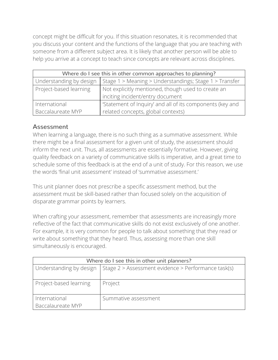concept might be difficult for you. If this situation resonates, it is recommended that you discuss your content and the functions of the language that you are teaching with someone from a different subject area. It is likely that another person will be able to help you arrive at a concept to teach since concepts are relevant across disciplines.

| Where do I see this in other common approaches to planning? |                                                           |  |
|-------------------------------------------------------------|-----------------------------------------------------------|--|
| Understanding by design                                     | Stage 1 > Meaning > Understandings; Stage 1 > Transfer    |  |
| Project-based learning                                      | Not explicitly mentioned, though used to create an        |  |
|                                                             | inciting incident/entry document                          |  |
| International                                               | 'Statement of Inquiry' and all of its components (key and |  |
| Baccalaureate MYP                                           | related concepts, global contexts)                        |  |

## Assessment

When learning a language, there is no such thing as a summative assessment. While there might be a final assessment for a given unit of study, the assessment should inform the next unit. Thus, all assessments are essentially formative. However, giving quality feedback on a variety of communicative skills is imperative, and a great time to schedule some of this feedback is at the end of a unit of study. For this reason, we use the words 'final unit assessment' instead of 'summative assessment.'

This unit planner does not prescribe a specific assessment method, but the assessment must be skill-based rather than focused solely on the acquisition of disparate grammar points by learners.

When crafting your assessment, remember that assessments are increasingly more reflective of the fact that communicative skills do not exist exclusively of one another. For example, it is very common for people to talk about something that they read or write about something that they heard. Thus, assessing more than one skill simultaneously is encouraged.

| Where do I see this in other unit planners? |                                                                               |  |
|---------------------------------------------|-------------------------------------------------------------------------------|--|
|                                             | Understanding by design   Stage 2 > Assessment evidence > Performance task(s) |  |
| Project-based learning                      | Project                                                                       |  |
| International                               | Summative assessment                                                          |  |
| Baccalaureate MYP                           |                                                                               |  |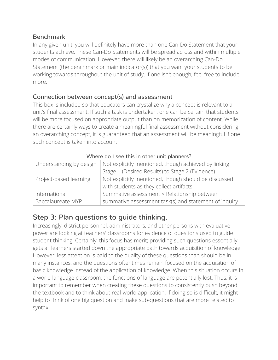## Benchmark

In any given unit, you will definitely have more than one Can-Do Statement that your students achieve. These Can-Do Statements will be spread across and within multiple modes of communication. However, there will likely be an overarching Can-Do Statement (the benchmark or main indicator(s)) that you want your students to be working towards throughout the unit of study. If one isn't enough, feel free to include more.

## Connection between concept(s) and assessment

This box is included so that educators can crystalize why a concept is relevant to a unit's final assessment. If such a task is undertaken, one can be certain that students will be more focused on appropriate output than on memorization of content. While there are certainly ways to create a meaningful final assessment without considering an overarching concept, it is guaranteed that an assessment will be meaningful if one such concept is taken into account.

| Where do I see this in other unit planners?                                     |                                                       |  |
|---------------------------------------------------------------------------------|-------------------------------------------------------|--|
| Not explicitly mentioned, though achieved by linking<br>Understanding by design |                                                       |  |
|                                                                                 | Stage 1 (Desired Results) to Stage 2 (Evidence)       |  |
| Project-based learning                                                          | Not explicitly mentioned, though should be discussed  |  |
|                                                                                 | with students as they collect artifacts               |  |
| International                                                                   | Summative assessment < Relationship between           |  |
| Baccalaureate MYP                                                               | summative assessment task(s) and statement of inquiry |  |

# **Step 3: Plan questions to guide thinking.**

Increasingly, district personnel, administrators, and other persons with evaluative power are looking at teachers' classrooms for evidence of questions used to guide student thinking. Certainly, this focus has merit; providing such questions essentially gets all learners started down the appropriate path towards acquisition of knowledge. However, less attention is paid to the quality of these questions than should be in many instances, and the questions oftentimes remain focused on the acquisition of basic knowledge instead of the application of knowledge. When this situation occurs in a world language classroom, the functions of language are potentially lost. Thus, it is important to remember when creating these questions to consistently push beyond the textbook and to think about real-world application. If doing so is difficult, it might help to think of one big question and make sub-questions that are more related to syntax.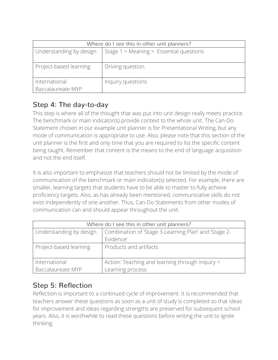| Where do I see this in other unit planners? |                                         |  |
|---------------------------------------------|-----------------------------------------|--|
| Understanding by design                     | Stage 1 > Meaning > Essential questions |  |
| Project-based learning                      | Driving question                        |  |
| International<br>Baccalaureate MYP          | Inquiry questions                       |  |

# **Step 4: The day-to-day**

This step is where all of the thought that was put into unit design really meets practice. The benchmark or main indicator(s) provide context to the whole unit. The Can-Do Statement chosen in our example unit planner is for Presentational Writing, but any mode of communication is appropriate to use. Also, please note that this section of the unit planner is the first and only time that you are required to list the specific content being taught. Remember that content is the means to the end of language acquisition and not the end itself.

It is also important to emphasize that teachers should not be limited by the mode of communication of the benchmark or main indicator(s) selected. For example, there are smaller, learning targets that students have to be able to master to fully achieve proficiency targets. Also, as has already been mentioned, communicative skills do not exist independently of one another. Thus, Can-Do Statements from other modes of communication can and should appear throughout the unit.

| Where do I see this in other unit planners?                                     |                                                 |  |
|---------------------------------------------------------------------------------|-------------------------------------------------|--|
| Understanding by design<br>Combination of 'Stage 3-Learning Plan' and 'Stage 2- |                                                 |  |
|                                                                                 | Evidence'                                       |  |
| Project-based learning                                                          | Products and artifacts                          |  |
|                                                                                 |                                                 |  |
| International                                                                   | Action: Teaching and learning through inquiry < |  |
| Baccalaureate MYP                                                               | Learning process                                |  |

# **Step 5: Reflection**

Reflection is important to a continued cycle of improvement. It is recommended that teachers answer these questions as soon as a unit of study is completed so that ideas for improvement and ideas regarding strengths are preserved for subsequent school years. Also, it is worthwhile to read these questions before writing the unit to ignite thinking.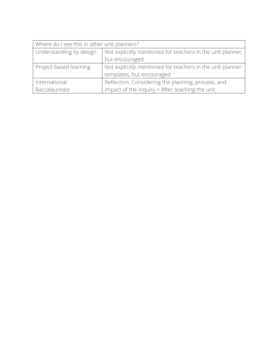| Where do I see this in other unit planners? |                                                            |  |
|---------------------------------------------|------------------------------------------------------------|--|
| Understanding by design                     | Not explicitly mentioned for teachers in the unit planner, |  |
|                                             | but encouraged                                             |  |
| Project-based learning                      | Not explicitly mentioned for teachers in the unit planner  |  |
|                                             | templates, but encouraged                                  |  |
| International                               | Reflection: Considering the planning, process, and         |  |
| Baccalaureate                               | impact of the inquiry < After teaching the unit            |  |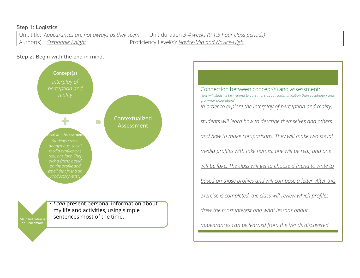#### Step 1: Logistics

Unit title: *Appearances are not always as they seem*. Unit duration *3-4 weeks (9 1.5 hour class periods)* Author(s): *Stephanie Knight* Proficiency Level(s): *Novice-Mid and Novice-High* 

#### Step 2: Begin with the end in mind.





• *I can* present personal information about my life and activities, using simple sentences most of the time.

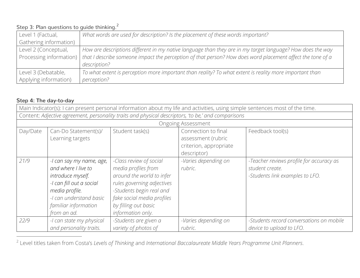## Step 3: Plan questions to guide thinking.<sup>2</sup>

| Level 1 (Factual,      | What words are used for description? Is the placement of these words important?                                                      |
|------------------------|--------------------------------------------------------------------------------------------------------------------------------------|
| Gathering information) |                                                                                                                                      |
| Level 2 (Conceptual,   | How are descriptions different in my native language than they are in my target language? How does the way                           |
|                        | Processing information)   that I describe someone impact the perception of that person? How does word placement affect the tone of a |
|                        | description?                                                                                                                         |
| Level 3 (Debatable,    | To what extent is perception more important than reality? To what extent is reality more important than                              |
| Applying information)  | perception?                                                                                                                          |

#### **Step 4: The day-to-day**

| Main Indicator(s): I can present personal information about my life and activities, using simple sentences most of the time. |                                                                                                                                                                                      |                                                                                                                                                                                                                  |                                                                                    |                                                                                                |  |  |
|------------------------------------------------------------------------------------------------------------------------------|--------------------------------------------------------------------------------------------------------------------------------------------------------------------------------------|------------------------------------------------------------------------------------------------------------------------------------------------------------------------------------------------------------------|------------------------------------------------------------------------------------|------------------------------------------------------------------------------------------------|--|--|
| Content: Adjective agreement, personality traits and physical descriptors, 'to be,' and comparisons                          |                                                                                                                                                                                      |                                                                                                                                                                                                                  |                                                                                    |                                                                                                |  |  |
| <b>Ongoing Assessment</b>                                                                                                    |                                                                                                                                                                                      |                                                                                                                                                                                                                  |                                                                                    |                                                                                                |  |  |
| Day/Date                                                                                                                     | Can-Do Statement(s)/<br>Learning targets                                                                                                                                             | Student task(s)                                                                                                                                                                                                  | Connection to final<br>assessment (rubric<br>criterion, appropriate<br>descriptor) | Feedback tool(s)                                                                               |  |  |
| 21/9                                                                                                                         | -I can say my name, age,<br>and where I live to<br>introduce myself.<br>-I can fill out a social<br>media profile.<br>-I can understand basic<br>familiar information<br>from an ad. | -Class review of social<br>media profiles from<br>around the world to infer<br>rules governing adjectives<br>-Students begin real and<br>fake social media profiles<br>by filling out basic<br>information only. | -Varies depending on<br>rubric.                                                    | -Teacher reviews profile for accuracy as<br>student create.<br>-Students link examples to LFO. |  |  |
| 22/9                                                                                                                         | -I can state my physical<br>and personality traits.                                                                                                                                  | -Students are given a<br>variety of photos of                                                                                                                                                                    | -Varies depending on<br>rubric.                                                    | -Students record conversations on mobile<br>device to upload to LFO.                           |  |  |

2 Level titles taken from Costa's *Levels of Thinking* and *International Baccalaureate Middle Years Programme Unit Planners*.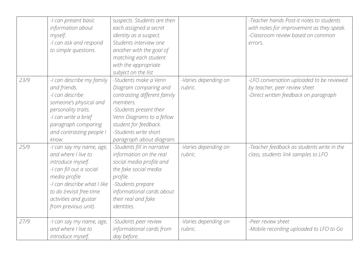|      | -I can present basic<br>information about<br>myself.<br>-I can ask and respond<br>to simple questions.                                                                                                                        | suspects. Students are then<br>each assigned a secret<br>identity as a suspect.<br>Students interview one<br>another with the goal of<br>matching each student<br>with the appropriate<br>subject on the list                    |                                 | -Teacher hands Post-it notes to students<br>with notes for improvement as they speak.<br>-Classroom review based on common<br>errors. |
|------|-------------------------------------------------------------------------------------------------------------------------------------------------------------------------------------------------------------------------------|----------------------------------------------------------------------------------------------------------------------------------------------------------------------------------------------------------------------------------|---------------------------------|---------------------------------------------------------------------------------------------------------------------------------------|
| 23/9 | -I can describe my family<br>and friends.<br>-I can describe<br>someone's physical and<br>personality traits.<br>-I can write a brief<br>paragraph comparing<br>and contrasting people I<br>know.                             | -Students make a Venn<br>Diagram comparing and<br>contrasting different family<br>members.<br>-Students present their<br>Venn Diagrams to a fellow<br>student for feedback.<br>-Students write short<br>paragraph about diagram. | -Varies depending on<br>rubric. | -LFO conversation uploaded to be reviewed<br>by teacher, peer review sheet<br>-Direct written feedback on paragraph                   |
| 25/9 | -I can say my name, age,<br>and where I live to<br>introduce myself.<br>-I can fill out a social<br>media profile<br>-I can describe what I like<br>to do (revisit free-time<br>activities and gustar<br>from previous unit). | -Students fill in narrative<br>information on the real<br>social media profile and<br>the fake social media<br>profile.<br>-Students prepare<br>informational cards about<br>their real and fake<br><i>identities.</i>           | -Varies depending on<br>rubric. | -Teacher feedback as students write in the<br>class, students link samples to LFO                                                     |
| 27/9 | -I can say my name, age,<br>and where I live to<br>introduce myself.                                                                                                                                                          | -Students peer review<br>informational cards from<br>day before.                                                                                                                                                                 | -Varies depending on<br>rubric. | -Peer review sheet<br>-Mobile recording uploaded to LFO to Go                                                                         |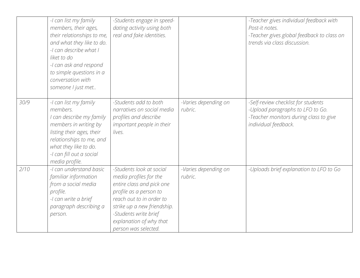|      | -I can list my family<br>members, their ages,<br>their relationships to me,<br>and what they like to do.<br>-I can describe what I<br>liket to do<br>-I can ask and respond<br>to simple questions in a<br>conversation with<br>someone I just met | -Students engage in speed-<br>dating activity using both<br>real and fake identities.                                                                                                                                                            |                                 | -Teacher gives individual feedback with<br>Post-it notes.<br>-Teacher gives global feedback to class on<br>trends via class discussion.   |
|------|----------------------------------------------------------------------------------------------------------------------------------------------------------------------------------------------------------------------------------------------------|--------------------------------------------------------------------------------------------------------------------------------------------------------------------------------------------------------------------------------------------------|---------------------------------|-------------------------------------------------------------------------------------------------------------------------------------------|
| 30/9 | -I can list my family<br>members.<br>I can describe my family<br>members in writing by<br>listing their ages, their<br>relationships to me, and<br>what they like to do.<br>-I can fill out a social<br>media profile.                             | -Students add to both<br>narratives on social media<br>profiles and describe<br>important people in their<br>lives.                                                                                                                              | -Varies depending on<br>rubric. | -Self-review checklist for students<br>-Upload paragraphs to LFO to Go.<br>-Teacher monitors during class to give<br>individual feedback. |
| 2/10 | -I can understand basic<br>familiar information<br>from a social media<br>profile.<br>-I can write a brief<br>paragraph describing a<br>person.                                                                                                    | -Students look at social<br>media profiles for the<br>entire class and pick one<br>profile as a person to<br>reach out to in order to<br>strike up a new friendship.<br>-Students write brief<br>explanation of why that<br>person was selected. | -Varies depending on<br>rubric. | -Uploads brief explanation to LFO to Go                                                                                                   |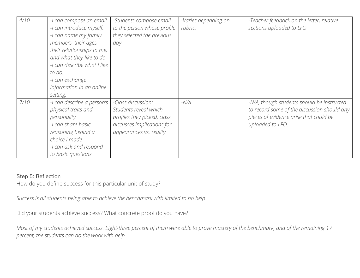| 4/10 | -I can compose an email<br>-I can introduce myself.<br>-I can name my family<br>members, their ages,<br>their relationships to me,<br>and what they like to do<br>-I can describe what I like<br>to do.<br>-I can exchange<br>information in an online<br>setting. | -Students compose email<br>to the person whose profile<br>they selected the previous<br>day.                                        | -Varies depending on<br>rubric. | -Teacher feedback on the letter, relative<br>sections uploaded to LFO                                                                                   |
|------|--------------------------------------------------------------------------------------------------------------------------------------------------------------------------------------------------------------------------------------------------------------------|-------------------------------------------------------------------------------------------------------------------------------------|---------------------------------|---------------------------------------------------------------------------------------------------------------------------------------------------------|
| 7/10 | -I can describe a person's<br>physical traits and<br>personality.<br>-I can share basic<br>reasoning behind a<br>choice I made<br>-I can ask and respond<br>to basic questions.                                                                                    | -Class discussion:<br>Students reveal which<br>profiles they picked, class<br>discusses implications for<br>appearances vs. reality | $-N/A$                          | -N/A, though students should be instructed<br>to record some of the discussion should any<br>pieces of evidence arise that could be<br>uploaded to LFO. |

#### Step 5: Reflection

How do you define success for this particular unit of study?

*Success is all students being able to achieve the benchmark with limited to no help.*

Did your students achieve success? What concrete proof do you have?

*Most of my students achieved success. Eight-three percent of them were able to prove mastery of the benchmark, and of the remaining 17 percent, the students can do the work with help.*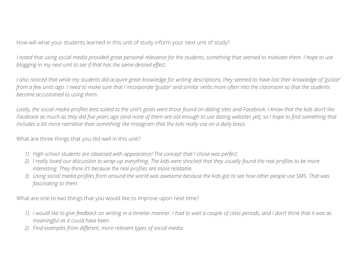How will what your students learned in this unit of study inform your next unit of study?

*I noted that using social media provided great personal relevance for the students, something that seemed to motivate them. I hope to use blogging in my next unit to see if that has the same desired effect.* 

*I also noticed that while my students did acquire great knowledge for writing descriptions, they seemed to have lost their knowledge of 'gustar' from a few units ago. I need to make sure that I incorporate 'gustar' and similar verbs more often into the classroom so that the students become accustomed to using them.*

*Lastly, the social media profiles best suited to the unit's goals were those found on dating sites and Facebook. I know that the kids don't like Facebook as much as they did five years ago (and none of them are old enough to use dating websites yet), so I hope to find something that includes a bit more narrative than something like Instagram that the kids really use on a daily basis.*

What are three things that you did well in this unit?

- *1) High school students are obsessed with appearance! The concept that I chose was perfect.*
- *2) I really loved our discussion to wrap-up everything. The kids were shocked that they usually found the real profiles to be more interesting. They think it's because the real profiles are more relatable.*
- *3) Using social media profiles from around the world was awesome because the kids got to see how other people use SMS. That was fascinating to them.*

What are one to two things that you would like to improve upon next time?

- *1) I would like to give feedback on writing in a timelier manner. I had to wait a couple of class periods, and I don't think that it was as meaningful as it could have been.*
- *2) Find examples from different, more relevant types of social media.*